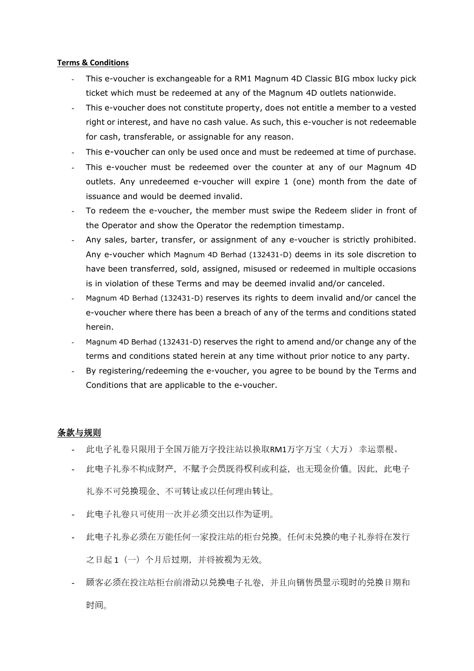## **Terms & Conditions**

- This e-voucher is exchangeable for a RM1 Magnum 4D Classic BIG mbox lucky pick ticket which must be redeemed at any of the Magnum 4D outlets nationwide.
- This e-voucher does not constitute property, does not entitle a member to a vested right or interest, and have no cash value. As such, this e-voucher is not redeemable for cash, transferable, or assignable for any reason.
- This e-voucher can only be used once and must be redeemed at time of purchase.
- This e-voucher must be redeemed over the counter at any of our Magnum 4D outlets. Any unredeemed e-voucher will expire 1 (one) month from the date of issuance and would be deemed invalid.
- To redeem the e-voucher, the member must swipe the Redeem slider in front of the Operator and show the Operator the redemption timestamp.
- Any sales, barter, transfer, or assignment of any e-voucher is strictly prohibited. Any e-voucher which Magnum 4D Berhad (132431-D) deems in its sole discretion to have been transferred, sold, assigned, misused or redeemed in multiple occasions is in violation of these Terms and may be deemed invalid and/or canceled.
- Magnum 4D Berhad (132431-D) reserves its rights to deem invalid and/or cancel the e-voucher where there has been a breach of any of the terms and conditions stated herein.
- Magnum 4D Berhad (132431-D) reserves the right to amend and/or change any of the terms and conditions stated herein at any time without prior notice to any party.
- By registering/redeeming the e-voucher, you agree to be bound by the Terms and Conditions that are applicable to the e-voucher.

## 条款与规则

- 此电子礼卷只限用于全国万能万字投注站以换取RM1万字万宝(大万) 幸运票根。
- 此电子礼券不构成财产,不赋予会员既得权利或利益,也无现金价值。因此,此电子 礼券不可兑换现金、不可转让或以任何理由转让。
- 此电子礼卷只可使用一次并必须交出以作为证明。
- 此电子礼券必须在万能任何一家投注站的柜台兑换。任何未兑换的电子礼券将在发行 之日起 1(一)个月后过期,并将被视为无效。
- 顾客必须在投注站柜台前滑动以兑换电子礼卷,并且向销售员显示现时的兑换日期和 时间。